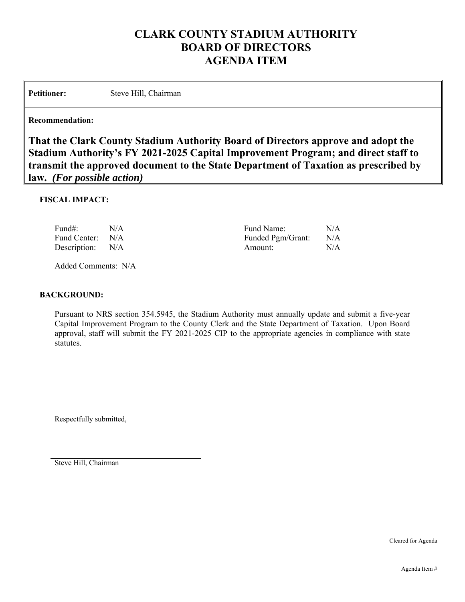# **CLARK COUNTY STADIUM AUTHORITY BOARD OF DIRECTORS AGENDA ITEM**

Petitioner: Steve Hill, Chairman

### **Recommendation:**

**That the Clark County Stadium Authority Board of Directors approve and adopt the Stadium Authority's FY 2021-2025 Capital Improvement Program; and direct staff to transmit the approved document to the State Department of Taxation as prescribed by law.** *(For possible action)*

### **FISCAL IMPACT:**

| Fund#:           | N/A | Fund Name:        | N/A |
|------------------|-----|-------------------|-----|
| Fund Center: N/A |     | Funded Pgm/Grant: | N/A |
| Description: N/A |     | Amount:           | N/A |

Added Comments: N/A

### **BACKGROUND:**

Pursuant to NRS section 354.5945, the Stadium Authority must annually update and submit a five-year Capital Improvement Program to the County Clerk and the State Department of Taxation. Upon Board approval, staff will submit the FY 2021-2025 CIP to the appropriate agencies in compliance with state statutes.

Respectfully submitted,

Steve Hill, Chairman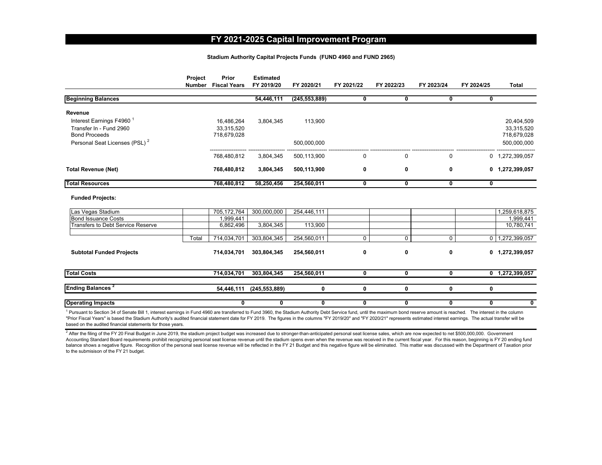#### **FY 2021-2025 Capital Improvement Program**

#### **Stadium Authority Capital Projects Funds (FUND 4960 and FUND 2965)**

|                                                                                         | Project | Prior<br>Number Fiscal Years            | <b>Estimated</b><br>FY 2019/20 | FY 2020/21      | FY 2021/22 | FY 2022/23              | FY 2023/24 | FY 2024/25     | <b>Total</b>                            |
|-----------------------------------------------------------------------------------------|---------|-----------------------------------------|--------------------------------|-----------------|------------|-------------------------|------------|----------------|-----------------------------------------|
| <b>Beginning Balances</b>                                                               |         |                                         | 54,446,111                     | (245, 553, 889) | 0          | 0                       | 0          | 0              |                                         |
| Revenue                                                                                 |         |                                         |                                |                 |            |                         |            |                |                                         |
| Interest Earnings F4960 <sup>1</sup><br>Transfer In - Fund 2960<br><b>Bond Proceeds</b> |         | 16,486,264<br>33,315,520<br>718,679,028 | 3,804,345                      | 113,900         |            |                         |            |                | 20,404,509<br>33,315,520<br>718,679,028 |
| Personal Seat Licenses (PSL) <sup>2</sup>                                               |         |                                         |                                | 500,000,000     |            |                         |            |                | 500,000,000                             |
|                                                                                         |         | 768,480,812                             | 3,804,345                      | 500,113,900     | 0          | 0                       | 0          |                | 0 1,272,399,057                         |
| <b>Total Revenue (Net)</b>                                                              |         | 768,480,812                             | 3,804,345                      | 500,113,900     | 0          | 0                       | 0          | 0              | 1,272,399,057                           |
| <b>Total Resources</b>                                                                  |         | 768,480,812                             | 58,250,456                     | 254,560,011     | 0          | 0                       | 0          | 0              |                                         |
| <b>Funded Projects:</b>                                                                 |         |                                         |                                |                 |            |                         |            |                |                                         |
| Las Vegas Stadium                                                                       |         | 705, 172, 764                           | 300,000,000                    | 254,446,111     |            |                         |            |                | 1,259,618,875                           |
| <b>Bond Issuance Costs</b>                                                              |         | .999.441                                |                                |                 |            |                         |            |                | 1,999,441                               |
| <b>Transfers to Debt Service Reserve</b>                                                |         | 6,862,496                               | 3,804,345                      | 113,900         |            |                         |            |                | 10,780,741                              |
|                                                                                         | Total   | 714,034,701                             | 303,804,345                    | 254,560,011     | 0          | 0                       | 0          | $\overline{0}$ | 1,272,399,057                           |
| <b>Subtotal Funded Projects</b>                                                         |         | 714,034,701                             | 303,804,345                    | 254,560,011     | 0          | 0                       | 0          | 0              | 1,272,399,057                           |
| <b>Total Costs</b>                                                                      |         | 714,034,701                             | 303,804,345                    | 254,560,011     | 0          | 0                       | 0          |                | $0$ 1,272,399,057                       |
| <b>Ending Balances<sup>2</sup></b>                                                      |         | 54,446,111                              | (245, 553, 889)                | 0               | 0          | 0                       | 0          | 0              |                                         |
| <b>Operating Impacts</b>                                                                |         | 0                                       | 0                              | 0               | 0          | $\overline{\mathbf{0}}$ | 0          | 0              | 0                                       |

<sup>1</sup> Pursuant to Section 34 of Senate Bill 1, interest earnings in Fund 4960 are transferred to Fund 3960, the Stadium Authority Debt Service fund, until the maximum bond reserve amount is reached. The interest in the colum "Prior Fiscal Years" is based the Stadium Authority's audited financial statement date for FY 2019. The figures in the columns "FY 2019/20" and "FY 2020/21" represents estimated interest earnings. The actual transfer will based on the audited financial statements for those years.

<sup>2</sup> After the filing of the FY 20 Final Budget in June 2019, the stadium project budget was increased due to stronger-than-anticipated personal seat license sales, which are now expected to net \$500,000,000. Government Accounting Standard Board requirements prohibit recognizing personal seat license revenue until the stadium opens even when the revenue was received in the current fiscal year. For this reason, beginning is FY 20 ending fu balance shows a negative figure. Recognition of the personal seat license revenue will be reflected in the FY 21 Budget and this negative figure will be eliminated. This matter was discussed with the Department of Taxation to the submisison of the FY 21 budget.